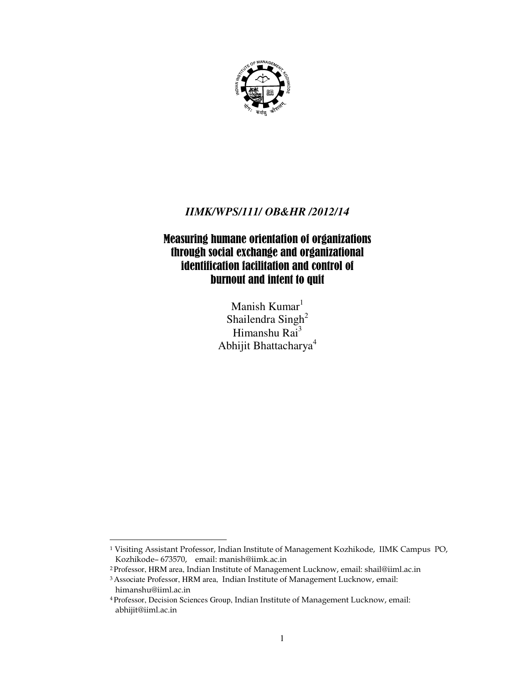

# *IIMK/WPS/111/ OB&HR /2012/14*

# Measuring humane orientation of organizations through social exchange and organizational identification facilitation and control of burnout and intent to quit

Manish Kumar $<sup>1</sup>$ </sup> Shailendra Singh<sup>2</sup> Himanshu Rai<sup>3</sup> Abhijit Bhattacharya<sup>4</sup>

 $\overline{a}$ 

 $^1$  Visiting Assistant Professor, Indian Institute of Management Kozhikode, IIMK Campus PO, Kozhikode- 673570, email: manish@iimk.ac.in

 $^2$ Professor, HRM area, Indian Institute of Management Lucknow, email: shail@iiml.ac.in

<sup>&</sup>lt;sup>3</sup> Associate Professor, HRM area, Indian Institute of Management Lucknow, email: himanshu@iiml.ac.in

<sup>&</sup>lt;sup>4</sup> Professor, Decision Sciences Group, Indian Institute of Management Lucknow, email: abhijit@iiml.ac.in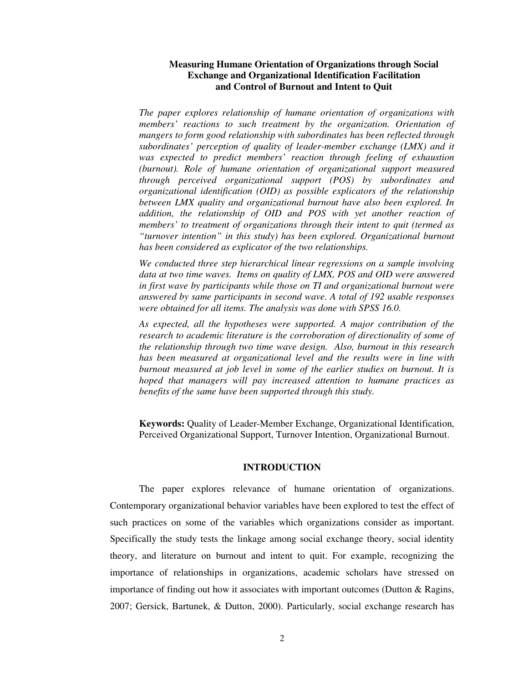## **Measuring Humane Orientation of Organizations through Social Exchange and Organizational Identification Facilitation and Control of Burnout and Intent to Quit**

*The paper explores relationship of humane orientation of organizations with members' reactions to such treatment by the organization. Orientation of mangers to form good relationship with subordinates has been reflected through subordinates' perception of quality of leader-member exchange (LMX) and it was expected to predict members' reaction through feeling of exhaustion (burnout). Role of humane orientation of organizational support measured through perceived organizational support (POS) by subordinates and organizational identification (OID) as possible explicators of the relationship between LMX quality and organizational burnout have also been explored. In addition, the relationship of OID and POS with yet another reaction of members' to treatment of organizations through their intent to quit (termed as "turnover intention" in this study) has been explored. Organizational burnout has been considered as explicator of the two relationships.* 

*We conducted three step hierarchical linear regressions on a sample involving data at two time waves. Items on quality of LMX, POS and OID were answered in first wave by participants while those on TI and organizational burnout were answered by same participants in second wave. A total of 192 usable responses were obtained for all items. The analysis was done with SPSS 16.0.* 

*As expected, all the hypotheses were supported. A major contribution of the*  research to academic literature is the corroboration of directionality of some of *the relationship through two time wave design. Also, burnout in this research has been measured at organizational level and the results were in line with burnout measured at job level in some of the earlier studies on burnout. It is hoped that managers will pay increased attention to humane practices as benefits of the same have been supported through this study.* 

**Keywords:** Quality of Leader-Member Exchange, Organizational Identification, Perceived Organizational Support, Turnover Intention, Organizational Burnout.

## **INTRODUCTION**

The paper explores relevance of humane orientation of organizations. Contemporary organizational behavior variables have been explored to test the effect of such practices on some of the variables which organizations consider as important. Specifically the study tests the linkage among social exchange theory, social identity theory, and literature on burnout and intent to quit. For example, recognizing the importance of relationships in organizations, academic scholars have stressed on importance of finding out how it associates with important outcomes (Dutton  $\&$  Ragins, 2007; Gersick, Bartunek, & Dutton, 2000). Particularly, social exchange research has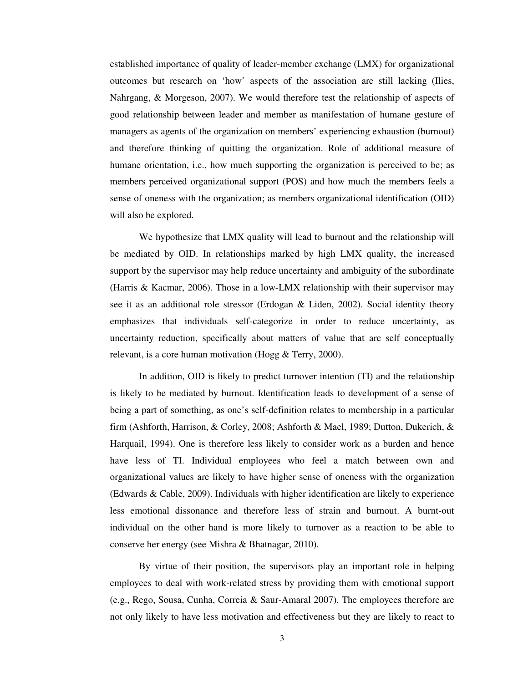established importance of quality of leader-member exchange (LMX) for organizational outcomes but research on 'how' aspects of the association are still lacking (Ilies, Nahrgang, & Morgeson, 2007). We would therefore test the relationship of aspects of good relationship between leader and member as manifestation of humane gesture of managers as agents of the organization on members' experiencing exhaustion (burnout) and therefore thinking of quitting the organization. Role of additional measure of humane orientation, i.e., how much supporting the organization is perceived to be; as members perceived organizational support (POS) and how much the members feels a sense of oneness with the organization; as members organizational identification (OID) will also be explored.

We hypothesize that LMX quality will lead to burnout and the relationship will be mediated by OID. In relationships marked by high LMX quality, the increased support by the supervisor may help reduce uncertainty and ambiguity of the subordinate (Harris & Kacmar, 2006). Those in a low-LMX relationship with their supervisor may see it as an additional role stressor (Erdogan & Liden, 2002). Social identity theory emphasizes that individuals self-categorize in order to reduce uncertainty, as uncertainty reduction, specifically about matters of value that are self conceptually relevant, is a core human motivation (Hogg & Terry, 2000).

In addition, OID is likely to predict turnover intention (TI) and the relationship is likely to be mediated by burnout. Identification leads to development of a sense of being a part of something, as one's self-definition relates to membership in a particular firm (Ashforth, Harrison, & Corley, 2008; Ashforth & Mael, 1989; Dutton, Dukerich, & Harquail, 1994). One is therefore less likely to consider work as a burden and hence have less of TI. Individual employees who feel a match between own and organizational values are likely to have higher sense of oneness with the organization (Edwards & Cable, 2009). Individuals with higher identification are likely to experience less emotional dissonance and therefore less of strain and burnout. A burnt-out individual on the other hand is more likely to turnover as a reaction to be able to conserve her energy (see Mishra & Bhatnagar, 2010).

By virtue of their position, the supervisors play an important role in helping employees to deal with work-related stress by providing them with emotional support (e.g., Rego, Sousa, Cunha, Correia & Saur-Amaral 2007). The employees therefore are not only likely to have less motivation and effectiveness but they are likely to react to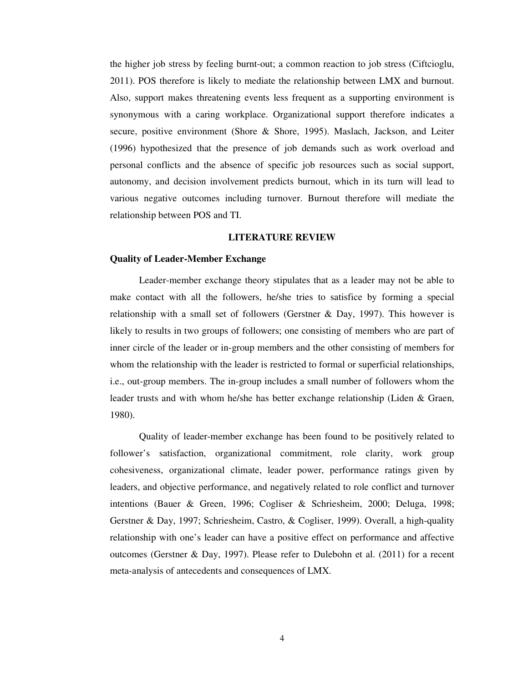the higher job stress by feeling burnt-out; a common reaction to job stress (Ciftcioglu, 2011). POS therefore is likely to mediate the relationship between LMX and burnout. Also, support makes threatening events less frequent as a supporting environment is synonymous with a caring workplace. Organizational support therefore indicates a secure, positive environment (Shore & Shore, 1995). Maslach, Jackson, and Leiter (1996) hypothesized that the presence of job demands such as work overload and personal conflicts and the absence of specific job resources such as social support, autonomy, and decision involvement predicts burnout, which in its turn will lead to various negative outcomes including turnover. Burnout therefore will mediate the relationship between POS and TI.

#### **LITERATURE REVIEW**

#### **Quality of Leader-Member Exchange**

Leader-member exchange theory stipulates that as a leader may not be able to make contact with all the followers, he/she tries to satisfice by forming a special relationship with a small set of followers (Gerstner & Day, 1997). This however is likely to results in two groups of followers; one consisting of members who are part of inner circle of the leader or in-group members and the other consisting of members for whom the relationship with the leader is restricted to formal or superficial relationships, i.e., out-group members. The in-group includes a small number of followers whom the leader trusts and with whom he/she has better exchange relationship (Liden & Graen, 1980).

Quality of leader-member exchange has been found to be positively related to follower's satisfaction, organizational commitment, role clarity, work group cohesiveness, organizational climate, leader power, performance ratings given by leaders, and objective performance, and negatively related to role conflict and turnover intentions (Bauer & Green, 1996; Cogliser & Schriesheim, 2000; Deluga, 1998; Gerstner & Day, 1997; Schriesheim, Castro, & Cogliser, 1999). Overall, a high-quality relationship with one's leader can have a positive effect on performance and affective outcomes (Gerstner & Day, 1997). Please refer to Dulebohn et al. (2011) for a recent meta-analysis of antecedents and consequences of LMX.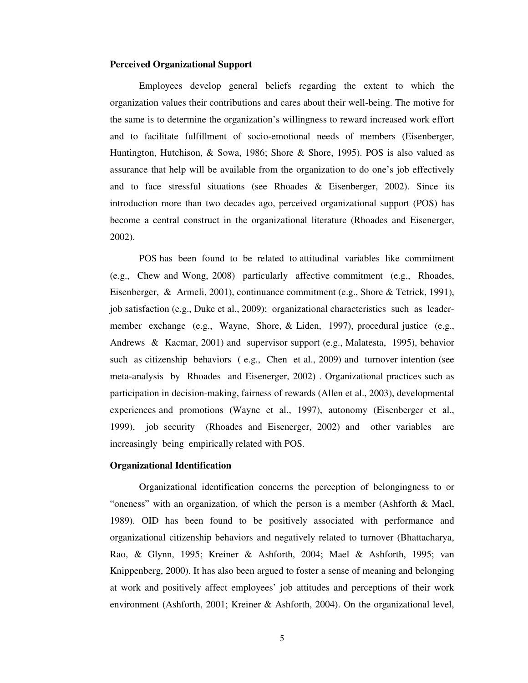### **Perceived Organizational Support**

Employees develop general beliefs regarding the extent to which the organization values their contributions and cares about their well-being. The motive for the same is to determine the organization's willingness to reward increased work effort and to facilitate fulfillment of socio-emotional needs of members (Eisenberger, Huntington, Hutchison, & Sowa, 1986; Shore & Shore, 1995). POS is also valued as assurance that help will be available from the organization to do one's job effectively and to face stressful situations (see Rhoades & Eisenberger, 2002). Since its introduction more than two decades ago, perceived organizational support (POS) has become a central construct in the organizational literature (Rhoades and Eisenerger, 2002).

POS has been found to be related to attitudinal variables like commitment (e.g., Chew and Wong, 2008) particularly affective commitment (e.g., Rhoades, Eisenberger, & Armeli, 2001), continuance commitment (e.g., Shore & Tetrick, 1991), job satisfaction (e.g., Duke et al., 2009); organizational characteristics such as leadermember exchange (e.g., Wayne, Shore, & Liden, 1997), procedural justice (e.g., Andrews & Kacmar, 2001) and supervisor support (e.g., Malatesta, 1995), behavior such as citizenship behaviors ( e.g., Chen et al., 2009) and turnover intention (see meta-analysis by Rhoades and Eisenerger, 2002) . Organizational practices such as participation in decision-making, fairness of rewards (Allen et al., 2003), developmental experiences and promotions (Wayne et al., 1997), autonomy (Eisenberger et al., 1999), job security (Rhoades and Eisenerger, 2002) and other variables are increasingly being empirically related with POS.

#### **Organizational Identification**

Organizational identification concerns the perception of belongingness to or "oneness" with an organization, of which the person is a member (Ashforth & Mael, 1989). OID has been found to be positively associated with performance and organizational citizenship behaviors and negatively related to turnover (Bhattacharya, Rao, & Glynn, 1995; Kreiner & Ashforth, 2004; Mael & Ashforth, 1995; van Knippenberg, 2000). It has also been argued to foster a sense of meaning and belonging at work and positively affect employees' job attitudes and perceptions of their work environment (Ashforth, 2001; Kreiner & Ashforth, 2004). On the organizational level,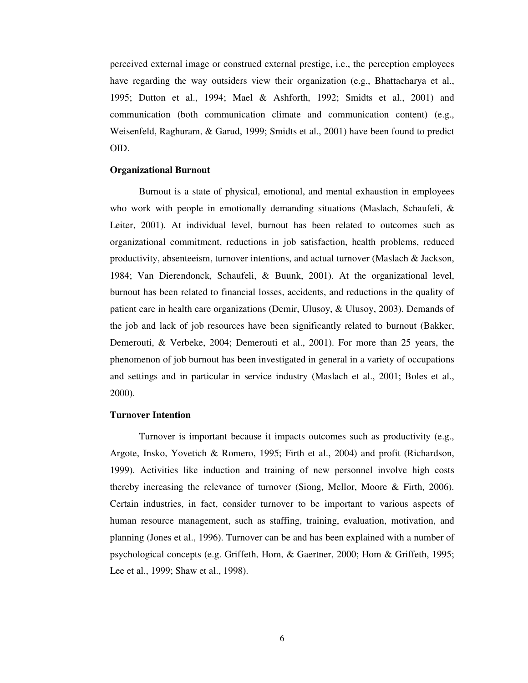perceived external image or construed external prestige, i.e., the perception employees have regarding the way outsiders view their organization (e.g., Bhattacharya et al., 1995; Dutton et al., 1994; Mael & Ashforth, 1992; Smidts et al., 2001) and communication (both communication climate and communication content) (e.g., Weisenfeld, Raghuram, & Garud, 1999; Smidts et al., 2001) have been found to predict OID.

#### **Organizational Burnout**

Burnout is a state of physical, emotional, and mental exhaustion in employees who work with people in emotionally demanding situations (Maslach, Schaufeli, & Leiter, 2001). At individual level, burnout has been related to outcomes such as organizational commitment, reductions in job satisfaction, health problems, reduced productivity, absenteeism, turnover intentions, and actual turnover (Maslach & Jackson, 1984; Van Dierendonck, Schaufeli, & Buunk, 2001). At the organizational level, burnout has been related to financial losses, accidents, and reductions in the quality of patient care in health care organizations (Demir, Ulusoy, & Ulusoy, 2003). Demands of the job and lack of job resources have been significantly related to burnout (Bakker, Demerouti, & Verbeke, 2004; Demerouti et al., 2001). For more than 25 years, the phenomenon of job burnout has been investigated in general in a variety of occupations and settings and in particular in service industry (Maslach et al., 2001; Boles et al., 2000).

#### **Turnover Intention**

Turnover is important because it impacts outcomes such as productivity (e.g., Argote, Insko, Yovetich & Romero, 1995; Firth et al., 2004) and profit (Richardson, 1999). Activities like induction and training of new personnel involve high costs thereby increasing the relevance of turnover (Siong, Mellor, Moore & Firth, 2006). Certain industries, in fact, consider turnover to be important to various aspects of human resource management, such as staffing, training, evaluation, motivation, and planning (Jones et al., 1996). Turnover can be and has been explained with a number of psychological concepts (e.g. Griffeth, Hom, & Gaertner, 2000; Hom & Griffeth, 1995; Lee et al., 1999; Shaw et al., 1998).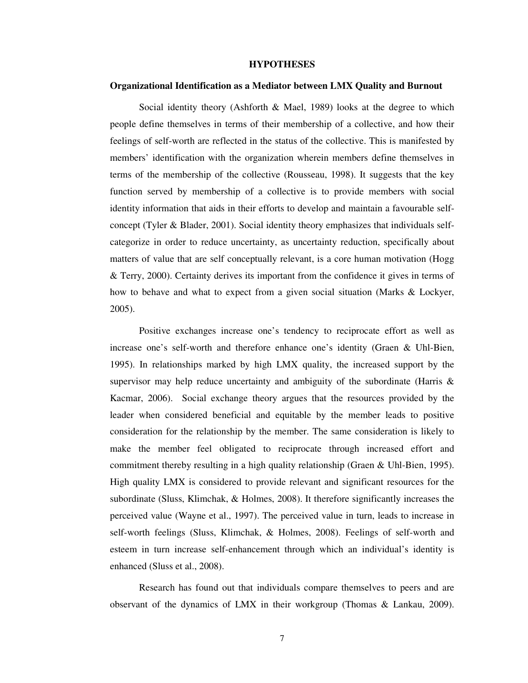### **HYPOTHESES**

#### **Organizational Identification as a Mediator between LMX Quality and Burnout**

Social identity theory (Ashforth & Mael, 1989) looks at the degree to which people define themselves in terms of their membership of a collective, and how their feelings of self-worth are reflected in the status of the collective. This is manifested by members' identification with the organization wherein members define themselves in terms of the membership of the collective (Rousseau, 1998). It suggests that the key function served by membership of a collective is to provide members with social identity information that aids in their efforts to develop and maintain a favourable selfconcept (Tyler & Blader, 2001). Social identity theory emphasizes that individuals selfcategorize in order to reduce uncertainty, as uncertainty reduction, specifically about matters of value that are self conceptually relevant, is a core human motivation (Hogg & Terry, 2000). Certainty derives its important from the confidence it gives in terms of how to behave and what to expect from a given social situation (Marks & Lockyer, 2005).

Positive exchanges increase one's tendency to reciprocate effort as well as increase one's self-worth and therefore enhance one's identity (Graen & Uhl-Bien, 1995). In relationships marked by high LMX quality, the increased support by the supervisor may help reduce uncertainty and ambiguity of the subordinate (Harris & Kacmar, 2006). Social exchange theory argues that the resources provided by the leader when considered beneficial and equitable by the member leads to positive consideration for the relationship by the member. The same consideration is likely to make the member feel obligated to reciprocate through increased effort and commitment thereby resulting in a high quality relationship (Graen & Uhl-Bien, 1995). High quality LMX is considered to provide relevant and significant resources for the subordinate (Sluss, Klimchak, & Holmes, 2008). It therefore significantly increases the perceived value (Wayne et al., 1997). The perceived value in turn, leads to increase in self-worth feelings (Sluss, Klimchak, & Holmes, 2008). Feelings of self-worth and esteem in turn increase self-enhancement through which an individual's identity is enhanced (Sluss et al., 2008).

Research has found out that individuals compare themselves to peers and are observant of the dynamics of LMX in their workgroup (Thomas & Lankau, 2009).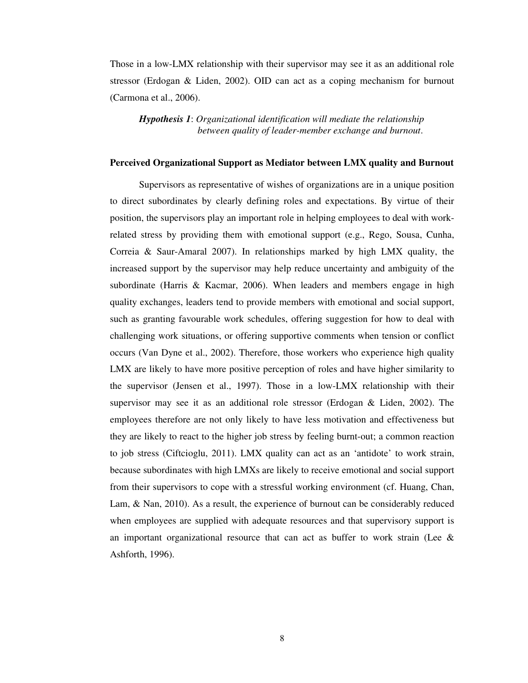Those in a low-LMX relationship with their supervisor may see it as an additional role stressor (Erdogan & Liden, 2002). OID can act as a coping mechanism for burnout (Carmona et al., 2006).

*Hypothesis 1*: *Organizational identification will mediate the relationship between quality of leader-member exchange and burnout*.

## **Perceived Organizational Support as Mediator between LMX quality and Burnout**

Supervisors as representative of wishes of organizations are in a unique position to direct subordinates by clearly defining roles and expectations. By virtue of their position, the supervisors play an important role in helping employees to deal with workrelated stress by providing them with emotional support (e.g., Rego, Sousa, Cunha, Correia & Saur-Amaral 2007). In relationships marked by high LMX quality, the increased support by the supervisor may help reduce uncertainty and ambiguity of the subordinate (Harris & Kacmar, 2006). When leaders and members engage in high quality exchanges, leaders tend to provide members with emotional and social support, such as granting favourable work schedules, offering suggestion for how to deal with challenging work situations, or offering supportive comments when tension or conflict occurs (Van Dyne et al., 2002). Therefore, those workers who experience high quality LMX are likely to have more positive perception of roles and have higher similarity to the supervisor (Jensen et al., 1997). Those in a low-LMX relationship with their supervisor may see it as an additional role stressor (Erdogan & Liden, 2002). The employees therefore are not only likely to have less motivation and effectiveness but they are likely to react to the higher job stress by feeling burnt-out; a common reaction to job stress (Ciftcioglu, 2011). LMX quality can act as an 'antidote' to work strain, because subordinates with high LMXs are likely to receive emotional and social support from their supervisors to cope with a stressful working environment (cf. Huang, Chan, Lam, & Nan, 2010). As a result, the experience of burnout can be considerably reduced when employees are supplied with adequate resources and that supervisory support is an important organizational resource that can act as buffer to work strain (Lee  $\&$ Ashforth, 1996).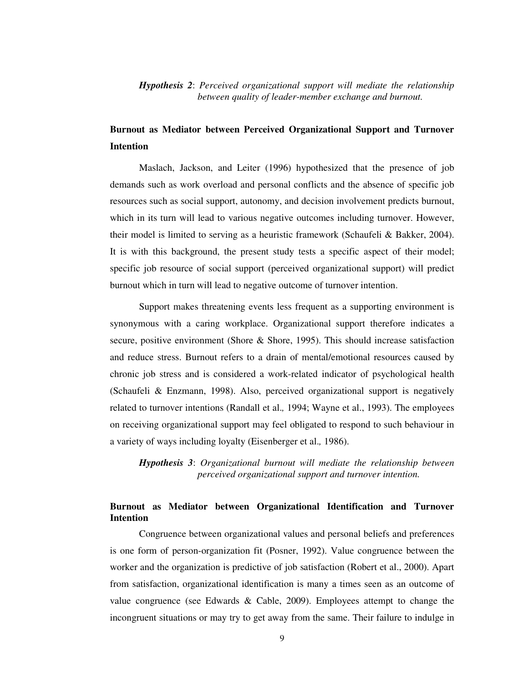# *Hypothesis 2*: *Perceived organizational support will mediate the relationship between quality of leader-member exchange and burnout.*

# **Burnout as Mediator between Perceived Organizational Support and Turnover Intention**

Maslach, Jackson, and Leiter (1996) hypothesized that the presence of job demands such as work overload and personal conflicts and the absence of specific job resources such as social support, autonomy, and decision involvement predicts burnout, which in its turn will lead to various negative outcomes including turnover. However, their model is limited to serving as a heuristic framework (Schaufeli & Bakker, 2004). It is with this background, the present study tests a specific aspect of their model; specific job resource of social support (perceived organizational support) will predict burnout which in turn will lead to negative outcome of turnover intention.

Support makes threatening events less frequent as a supporting environment is synonymous with a caring workplace. Organizational support therefore indicates a secure, positive environment (Shore & Shore, 1995). This should increase satisfaction and reduce stress. Burnout refers to a drain of mental/emotional resources caused by chronic job stress and is considered a work-related indicator of psychological health (Schaufeli & Enzmann, 1998). Also, perceived organizational support is negatively related to turnover intentions (Randall et al.*,* 1994; Wayne et al., 1993). The employees on receiving organizational support may feel obligated to respond to such behaviour in a variety of ways including loyalty (Eisenberger et al.*,* 1986).

*Hypothesis 3*: *Organizational burnout will mediate the relationship between perceived organizational support and turnover intention.* 

# **Burnout as Mediator between Organizational Identification and Turnover Intention**

Congruence between organizational values and personal beliefs and preferences is one form of person-organization fit (Posner, 1992). Value congruence between the worker and the organization is predictive of job satisfaction (Robert et al., 2000). Apart from satisfaction, organizational identification is many a times seen as an outcome of value congruence (see Edwards & Cable, 2009). Employees attempt to change the incongruent situations or may try to get away from the same. Their failure to indulge in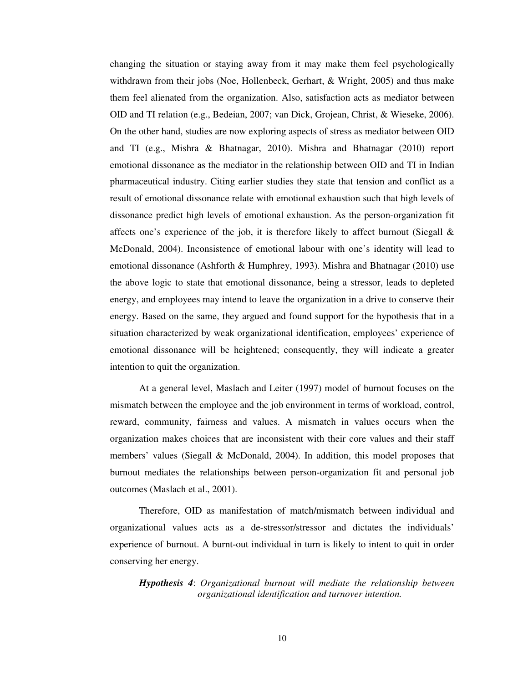changing the situation or staying away from it may make them feel psychologically withdrawn from their jobs (Noe, Hollenbeck, Gerhart, & Wright, 2005) and thus make them feel alienated from the organization. Also, satisfaction acts as mediator between OID and TI relation (e.g., Bedeian, 2007; van Dick, Grojean, Christ, & Wieseke, 2006). On the other hand, studies are now exploring aspects of stress as mediator between OID and TI (e.g., Mishra & Bhatnagar, 2010). Mishra and Bhatnagar (2010) report emotional dissonance as the mediator in the relationship between OID and TI in Indian pharmaceutical industry. Citing earlier studies they state that tension and conflict as a result of emotional dissonance relate with emotional exhaustion such that high levels of dissonance predict high levels of emotional exhaustion. As the person-organization fit affects one's experience of the job, it is therefore likely to affect burnout (Siegall  $\&$ McDonald, 2004). Inconsistence of emotional labour with one's identity will lead to emotional dissonance (Ashforth & Humphrey, 1993). Mishra and Bhatnagar (2010) use the above logic to state that emotional dissonance, being a stressor, leads to depleted energy, and employees may intend to leave the organization in a drive to conserve their energy. Based on the same, they argued and found support for the hypothesis that in a situation characterized by weak organizational identification, employees' experience of emotional dissonance will be heightened; consequently, they will indicate a greater intention to quit the organization.

At a general level, Maslach and Leiter (1997) model of burnout focuses on the mismatch between the employee and the job environment in terms of workload, control, reward, community, fairness and values. A mismatch in values occurs when the organization makes choices that are inconsistent with their core values and their staff members' values (Siegall & McDonald, 2004). In addition, this model proposes that burnout mediates the relationships between person-organization fit and personal job outcomes (Maslach et al., 2001).

Therefore, OID as manifestation of match/mismatch between individual and organizational values acts as a de-stressor/stressor and dictates the individuals' experience of burnout. A burnt-out individual in turn is likely to intent to quit in order conserving her energy.

*Hypothesis 4*: *Organizational burnout will mediate the relationship between organizational identification and turnover intention.*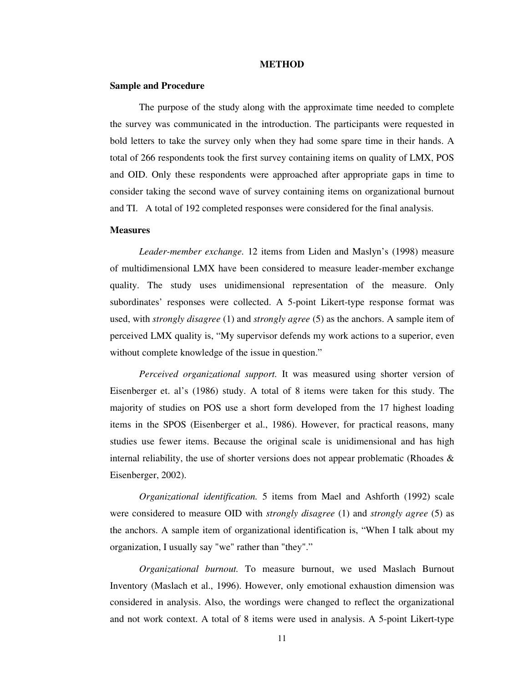#### **METHOD**

#### **Sample and Procedure**

The purpose of the study along with the approximate time needed to complete the survey was communicated in the introduction. The participants were requested in bold letters to take the survey only when they had some spare time in their hands. A total of 266 respondents took the first survey containing items on quality of LMX, POS and OID. Only these respondents were approached after appropriate gaps in time to consider taking the second wave of survey containing items on organizational burnout and TI. A total of 192 completed responses were considered for the final analysis.

### **Measures**

*Leader-member exchange.* 12 items from Liden and Maslyn's (1998) measure of multidimensional LMX have been considered to measure leader-member exchange quality. The study uses unidimensional representation of the measure. Only subordinates' responses were collected. A 5-point Likert-type response format was used, with *strongly disagree* (1) and *strongly agree* (5) as the anchors. A sample item of perceived LMX quality is, "My supervisor defends my work actions to a superior, even without complete knowledge of the issue in question."

*Perceived organizational support.* It was measured using shorter version of Eisenberger et. al's (1986) study. A total of 8 items were taken for this study. The majority of studies on POS use a short form developed from the 17 highest loading items in the SPOS (Eisenberger et al., 1986). However, for practical reasons, many studies use fewer items. Because the original scale is unidimensional and has high internal reliability, the use of shorter versions does not appear problematic (Rhoades  $\&$ Eisenberger, 2002).

*Organizational identification.* 5 items from Mael and Ashforth (1992) scale were considered to measure OID with *strongly disagree* (1) and *strongly agree* (5) as the anchors. A sample item of organizational identification is, "When I talk about my organization, I usually say "we" rather than "they"."

*Organizational burnout.* To measure burnout, we used Maslach Burnout Inventory (Maslach et al., 1996). However, only emotional exhaustion dimension was considered in analysis. Also, the wordings were changed to reflect the organizational and not work context. A total of 8 items were used in analysis. A 5-point Likert-type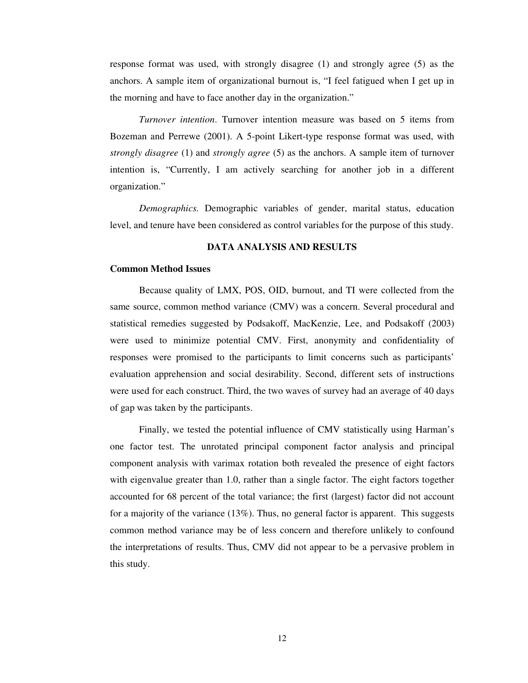response format was used, with strongly disagree (1) and strongly agree (5) as the anchors. A sample item of organizational burnout is, "I feel fatigued when I get up in the morning and have to face another day in the organization."

*Turnover intention*. Turnover intention measure was based on 5 items from Bozeman and Perrewe (2001). A 5-point Likert-type response format was used, with *strongly disagree* (1) and *strongly agree* (5) as the anchors. A sample item of turnover intention is, "Currently, I am actively searching for another job in a different organization."

*Demographics.* Demographic variables of gender, marital status, education level, and tenure have been considered as control variables for the purpose of this study.

# **DATA ANALYSIS AND RESULTS**

## **Common Method Issues**

Because quality of LMX, POS, OID, burnout, and TI were collected from the same source, common method variance (CMV) was a concern. Several procedural and statistical remedies suggested by Podsakoff, MacKenzie, Lee, and Podsakoff (2003) were used to minimize potential CMV. First, anonymity and confidentiality of responses were promised to the participants to limit concerns such as participants' evaluation apprehension and social desirability. Second, different sets of instructions were used for each construct. Third, the two waves of survey had an average of 40 days of gap was taken by the participants.

Finally, we tested the potential influence of CMV statistically using Harman's one factor test. The unrotated principal component factor analysis and principal component analysis with varimax rotation both revealed the presence of eight factors with eigenvalue greater than 1.0, rather than a single factor. The eight factors together accounted for 68 percent of the total variance; the first (largest) factor did not account for a majority of the variance (13%). Thus, no general factor is apparent. This suggests common method variance may be of less concern and therefore unlikely to confound the interpretations of results. Thus, CMV did not appear to be a pervasive problem in this study.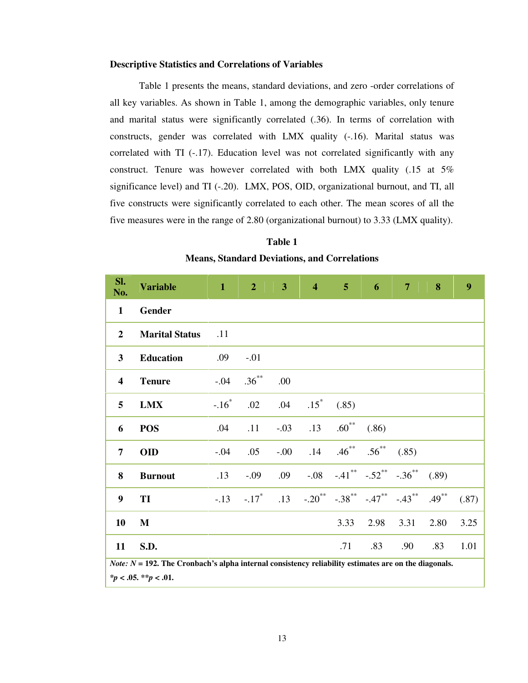#### **Descriptive Statistics and Correlations of Variables**

Table 1 presents the means, standard deviations, and zero -order correlations of all key variables. As shown in Table 1, among the demographic variables, only tenure and marital status were significantly correlated (.36). In terms of correlation with constructs, gender was correlated with LMX quality (-.16). Marital status was correlated with TI (-.17). Education level was not correlated significantly with any construct. Tenure was however correlated with both LMX quality (.15 at 5% significance level) and TI (-.20). LMX, POS, OID, organizational burnout, and TI, all five constructs were significantly correlated to each other. The mean scores of all the five measures were in the range of 2.80 (organizational burnout) to 3.33 (LMX quality).

**Table 1 Means, Standard Deviations, and Correlations** 

| SI.<br>No.              | <b>Variable</b>                                                                                                                          | $\mathbf{1}$ | $\overline{2}$      | 3      | $\overline{\mathbf{4}}$ | 5 <sup>5</sup>                      | 6                             | $\overline{7}$ | 8        | 9     |
|-------------------------|------------------------------------------------------------------------------------------------------------------------------------------|--------------|---------------------|--------|-------------------------|-------------------------------------|-------------------------------|----------------|----------|-------|
| $\mathbf{1}$            | Gender                                                                                                                                   |              |                     |        |                         |                                     |                               |                |          |       |
| $\overline{2}$          | <b>Marital Status</b>                                                                                                                    | .11          |                     |        |                         |                                     |                               |                |          |       |
| 3                       | <b>Education</b>                                                                                                                         | .09          | $-.01$              |        |                         |                                     |                               |                |          |       |
| $\overline{\mathbf{4}}$ | <b>Tenure</b>                                                                                                                            | $-.04$       | $.36^{**}$          | .00    |                         |                                     |                               |                |          |       |
| 5                       | <b>LMX</b>                                                                                                                               | $-.16*$      | .02                 | .04    | $.15$ <sup>*</sup>      | (.85)                               |                               |                |          |       |
| 6                       | <b>POS</b>                                                                                                                               | .04          | .11                 | $-.03$ | .13                     | $.60^{**}$                          | (.86)                         |                |          |       |
| $\overline{7}$          | <b>OID</b>                                                                                                                               | $-.04$       | .05                 | $-00.$ | .14                     | $.46***$                            | $.56***$                      | (.85)          |          |       |
| 8                       | <b>Burnout</b>                                                                                                                           | .13          | $-.09$              | .09    | $-0.08$                 |                                     | $-.41$ ** $-.52$ ** $-.36$ ** |                | (.89)    |       |
| 9                       | TI                                                                                                                                       | $-.13$       | $-.17$ <sup>*</sup> | .13    |                         | $-.20^{**}$ $-.38^{**}$ $-.47^{**}$ |                               | $-.43***$      | $.49***$ | (.87) |
| 10                      | $\mathbf{M}$                                                                                                                             |              |                     |        |                         | 3.33                                | 2.98                          | 3.31           | 2.80     | 3.25  |
| 11                      | S.D.                                                                                                                                     |              |                     |        |                         | .71                                 | .83                           | .90            | .83      | 1.01  |
|                         | <i>Note:</i> $N = 192$ . The Cronbach's alpha internal consistency reliability estimates are on the diagonals.<br>$*p < .05. **p < .01.$ |              |                     |        |                         |                                     |                               |                |          |       |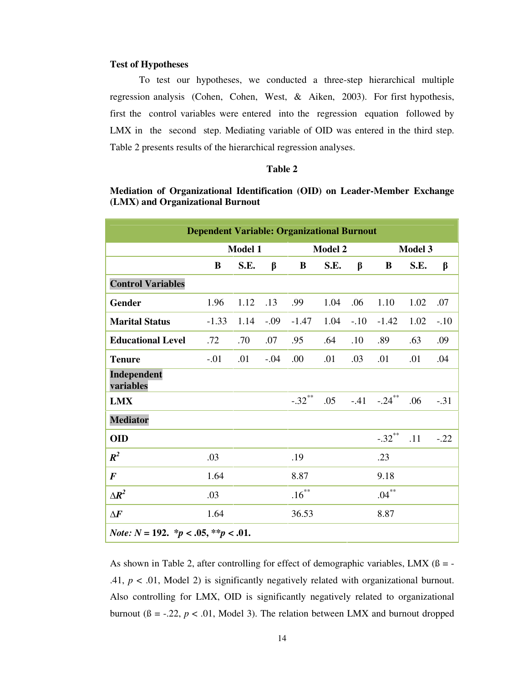#### **Test of Hypotheses**

To test our hypotheses, we conducted a three-step hierarchical multiple regression analysis (Cohen, Cohen, West, & Aiken, 2003). For first hypothesis, first the control variables were entered into the regression equation followed by LMX in the second step. Mediating variable of OID was entered in the third step. Table 2 presents results of the hierarchical regression analyses.

### **Table 2**

# **Mediation of Organizational Identification (OID) on Leader-Member Exchange (LMX) and Organizational Burnout**

|                                                                      | <b>Dependent Variable: Organizational Burnout</b> |      |        |                |      |        |                |      |        |
|----------------------------------------------------------------------|---------------------------------------------------|------|--------|----------------|------|--------|----------------|------|--------|
|                                                                      | Model 1                                           |      |        | <b>Model 2</b> |      |        | <b>Model 3</b> |      |        |
|                                                                      | B                                                 | S.E. | β      | B              | S.E. | β      | B              | S.E. | β      |
| <b>Control Variables</b>                                             |                                                   |      |        |                |      |        |                |      |        |
| <b>Gender</b>                                                        | 1.96                                              | 1.12 | .13    | .99            | 1.04 | .06    | 1.10           | 1.02 | .07    |
| <b>Marital Status</b>                                                | $-1.33$                                           | 1.14 | $-.09$ | $-1.47$        | 1.04 | $-.10$ | $-1.42$        | 1.02 | $-.10$ |
| <b>Educational Level</b>                                             | .72                                               | .70  | .07    | .95            | .64  | .10    | .89            | .63  | .09    |
| <b>Tenure</b>                                                        | $-.01$                                            | .01  | $-.04$ | .00            | .01  | .03    | .01            | .01  | .04    |
| Independent<br>variables                                             |                                                   |      |        |                |      |        |                |      |        |
| <b>LMX</b>                                                           |                                                   |      |        | $-.32***$      | .05  | $-41$  | $-.24***$      | .06  | $-.31$ |
| <b>Mediator</b>                                                      |                                                   |      |        |                |      |        |                |      |        |
| <b>OID</b>                                                           |                                                   |      |        |                |      |        | $-.32***$      | .11  | $-.22$ |
| $R^2$                                                                | .03                                               |      |        | .19            |      |        | .23            |      |        |
| $\boldsymbol{F}$                                                     | 1.64                                              |      |        | 8.87           |      |        | 9.18           |      |        |
| $\Delta R^2$                                                         | .03                                               |      |        | $.16***$       |      |        | $.04***$       |      |        |
| $\Delta F$                                                           | 1.64                                              |      |        | 36.53          |      |        | 8.87           |      |        |
| <i>Note:</i> $N = 192$ . $\frac{k}{p} < .05$ , $\frac{k}{p} < .01$ . |                                                   |      |        |                |      |        |                |      |        |

As shown in Table 2, after controlling for effect of demographic variables, LMX  $(β = -$ .41,  $p < .01$ , Model 2) is significantly negatively related with organizational burnout. Also controlling for LMX, OID is significantly negatively related to organizational burnout ( $\beta = -.22$ ,  $p < .01$ , Model 3). The relation between LMX and burnout dropped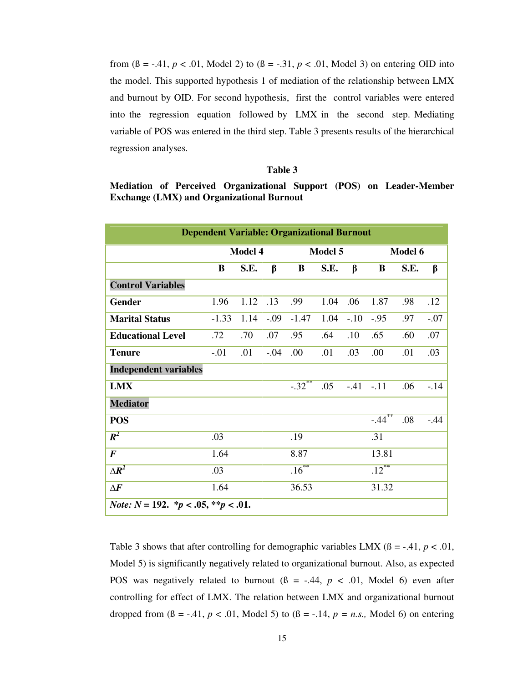from  $(8 = -0.41, p < 0.01,$  Model 2) to  $(8 = -0.31, p < 0.01,$  Model 3) on entering OID into the model. This supported hypothesis 1 of mediation of the relationship between LMX and burnout by OID. For second hypothesis, first the control variables were entered into the regression equation followed by LMX in the second step. Mediating variable of POS was entered in the third step. Table 3 presents results of the hierarchical regression analyses.

## **Table 3**

# **Mediation of Perceived Organizational Support (POS) on Leader-Member Exchange (LMX) and Organizational Burnout**

| <b>Dependent Variable: Organizational Burnout</b>                    |         |      |        |          |      |        |            |      |        |
|----------------------------------------------------------------------|---------|------|--------|----------|------|--------|------------|------|--------|
|                                                                      | Model 4 |      |        | Model 5  |      |        | Model 6    |      |        |
|                                                                      | B       | S.E. | β      | B        | S.E. | β      | B          | S.E. | β      |
| <b>Control Variables</b>                                             |         |      |        |          |      |        |            |      |        |
| Gender                                                               | 1.96    | 1.12 | .13    | .99      | 1.04 | .06    | 1.87       | .98  | .12    |
| <b>Marital Status</b>                                                | $-1.33$ | 1.14 | $-.09$ | $-1.47$  | 1.04 | $-.10$ | $-.95$     | .97  | $-.07$ |
| <b>Educational Level</b>                                             | .72     | .70  | .07    | .95      | .64  | .10    | .65        | .60  | .07    |
| <b>Tenure</b>                                                        | $-.01$  | .01  | $-.04$ | .00.     | .01  | .03    | .00        | .01  | .03    |
| <b>Independent variables</b>                                         |         |      |        |          |      |        |            |      |        |
| <b>LMX</b>                                                           |         |      |        | $-0.32$  | .05  |        | $-.41-.11$ | .06  | $-.14$ |
| <b>Mediator</b>                                                      |         |      |        |          |      |        |            |      |        |
| <b>POS</b>                                                           |         |      |        |          |      |        | $-44^{**}$ | .08  | $-.44$ |
| $R^2$                                                                | .03     |      |        | .19      |      |        | .31        |      |        |
| $\boldsymbol{F}$                                                     | 1.64    |      |        | 8.87     |      |        | 13.81      |      |        |
| $\Delta R^2$                                                         | .03     |      |        | $.16***$ |      |        | $.12***$   |      |        |
| $\Delta F$                                                           | 1.64    |      |        | 36.53    |      |        | 31.32      |      |        |
| <i>Note:</i> $N = 192$ . $\frac{k}{p} < .05$ , $\frac{k}{p} < .01$ . |         |      |        |          |      |        |            |      |        |

Table 3 shows that after controlling for demographic variables LMX  $(β = -0.41, p < 0.01,$ Model 5) is significantly negatively related to organizational burnout. Also, as expected POS was negatively related to burnout  $(β = -.44, p < .01, Model 6)$  even after controlling for effect of LMX. The relation between LMX and organizational burnout dropped from  $(8 = -0.41, p < 0.01,$  Model 5) to  $(8 = -0.14, p = n.s.,$  Model 6) on entering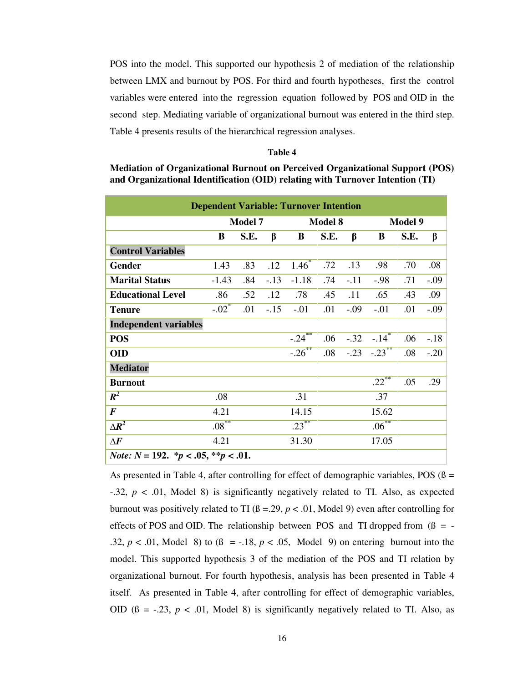POS into the model. This supported our hypothesis 2 of mediation of the relationship between LMX and burnout by POS. For third and fourth hypotheses, first the control variables were entered into the regression equation followed by POS and OID in the second step. Mediating variable of organizational burnout was entered in the third step. Table 4 presents results of the hierarchical regression analyses.

## **Table 4**

| Mediation of Organizational Burnout on Perceived Organizational Support (POS) |
|-------------------------------------------------------------------------------|
| and Organizational Identification (OID) relating with Turnover Intention (TI) |

| <b>Dependent Variable: Turnover Intention</b>         |                     |      |        |                |      |        |                           |      |        |
|-------------------------------------------------------|---------------------|------|--------|----------------|------|--------|---------------------------|------|--------|
|                                                       | <b>Model 7</b>      |      |        | <b>Model 8</b> |      |        | <b>Model 9</b>            |      |        |
|                                                       | B                   | S.E. | β      | B              | S.E. | β      | B                         | S.E. | β      |
| <b>Control Variables</b>                              |                     |      |        |                |      |        |                           |      |        |
| <b>Gender</b>                                         | 1.43                | .83  | .12    | $1.46*$        | .72  | .13    | .98                       | .70  | .08    |
| <b>Marital Status</b>                                 | $-1.43$             | .84  | $-.13$ | $-1.18$        | .74  | $-.11$ | $-.98$                    | .71  | $-.09$ |
| <b>Educational Level</b>                              | .86                 | .52  | .12    | .78            | .45  | .11    | .65                       | .43  | .09    |
| <b>Tenure</b>                                         | $-.02$ <sup>*</sup> | .01  | $-.15$ | $-.01$         | .01  | $-.09$ | $-.01$                    | .01  | $-.09$ |
| <b>Independent variables</b>                          |                     |      |        |                |      |        |                           |      |        |
| <b>POS</b>                                            |                     |      |        | $-24$          | .06  |        | $-.32 - .14$ <sup>*</sup> | .06  | $-.18$ |
| <b>OID</b>                                            |                     |      |        | $-0.26$        | .08  |        | $-23$ $-23$ $+23$         | .08  | $-.20$ |
| <b>Mediator</b>                                       |                     |      |        |                |      |        |                           |      |        |
| <b>Burnout</b>                                        |                     |      |        |                |      |        | $.22***$                  | .05  | .29    |
| $R^2$                                                 | .08                 |      |        | .31            |      |        | .37                       |      |        |
| $\boldsymbol{F}$                                      | 4.21                |      |        | 14.15          |      |        | 15.62                     |      |        |
| $\Delta R^2$                                          | $.08***$            |      |        | $.23***$       |      |        | $.06^{**}$                |      |        |
| $\Delta F$                                            | 4.21                |      |        | 31.30          |      |        | 17.05                     |      |        |
| <i>Note:</i> $N = 192$ . * $p < .05$ , ** $p < .01$ . |                     |      |        |                |      |        |                           |      |        |

As presented in Table 4, after controlling for effect of demographic variables, POS ( $\beta$  = -.32, *p* < .01, Model 8) is significantly negatively related to TI. Also, as expected burnout was positively related to TI  $(8 = 0.29, p < 0.01,$  Model 9) even after controlling for effects of POS and OID. The relationship between POS and TI dropped from  $(β = -$ .32,  $p < .01$ , Model 8) to  $(8 = -.18, p < .05,$  Model 9) on entering burnout into the model. This supported hypothesis 3 of the mediation of the POS and TI relation by organizational burnout. For fourth hypothesis, analysis has been presented in Table 4 itself. As presented in Table 4, after controlling for effect of demographic variables, OID  $(8 = -0.23, p < 0.01,$  Model 8) is significantly negatively related to TI. Also, as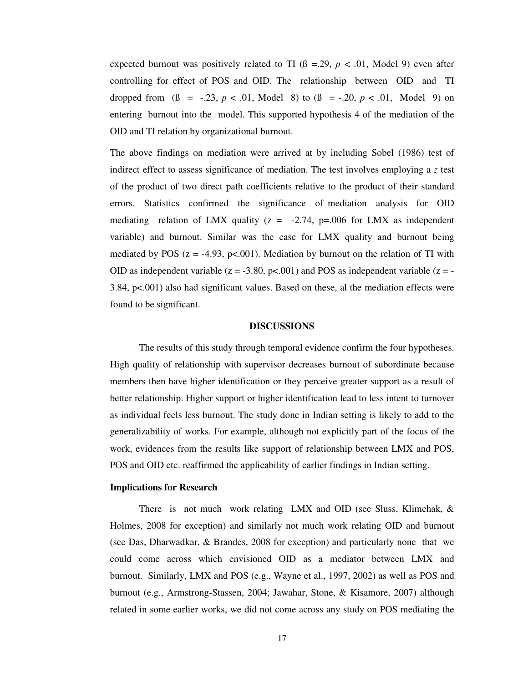expected burnout was positively related to TI  $(\beta = .29, p < .01,$  Model 9) even after controlling for effect of POS and OID. The relationship between OID and TI dropped from ( $\beta = -.23$ ,  $p < .01$ , Model 8) to ( $\beta = -.20$ ,  $p < .01$ , Model 9) on entering burnout into the model. This supported hypothesis 4 of the mediation of the OID and TI relation by organizational burnout.

The above findings on mediation were arrived at by including Sobel (1986) test of indirect effect to assess significance of mediation. The test involves employing a *z* test of the product of two direct path coefficients relative to the product of their standard errors. Statistics confirmed the significance of mediation analysis for OID mediating relation of LMX quality  $(z = -2.74, p=0.006)$  for LMX as independent variable) and burnout. Similar was the case for LMX quality and burnout being mediated by POS  $(z = -4.93, p < 0.001)$ . Mediation by burnout on the relation of TI with OID as independent variable ( $z = -3.80$ ,  $p<0.001$ ) and POS as independent variable ( $z = -$ 3.84, p<.001) also had significant values. Based on these, al the mediation effects were found to be significant.

#### **DISCUSSIONS**

The results of this study through temporal evidence confirm the four hypotheses. High quality of relationship with supervisor decreases burnout of subordinate because members then have higher identification or they perceive greater support as a result of better relationship. Higher support or higher identification lead to less intent to turnover as individual feels less burnout. The study done in Indian setting is likely to add to the generalizability of works. For example, although not explicitly part of the focus of the work, evidences from the results like support of relationship between LMX and POS, POS and OID etc. reaffirmed the applicability of earlier findings in Indian setting.

#### **Implications for Research**

There is not much work relating LMX and OID (see Sluss, Klimchak, & Holmes, 2008 for exception) and similarly not much work relating OID and burnout (see Das, Dharwadkar, & Brandes, 2008 for exception) and particularly none that we could come across which envisioned OID as a mediator between LMX and burnout. Similarly, LMX and POS (e.g., Wayne et al., 1997, 2002) as well as POS and burnout (e.g., Armstrong-Stassen, 2004; Jawahar, Stone, & Kisamore, 2007) although related in some earlier works, we did not come across any study on POS mediating the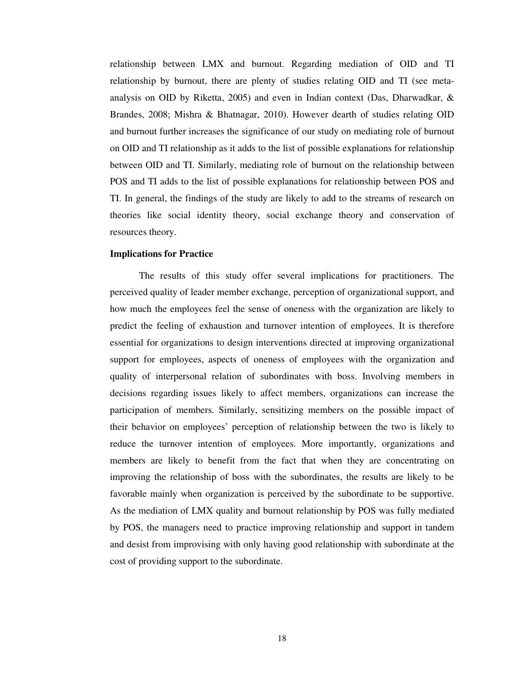relationship between LMX and burnout. Regarding mediation of OID and TI relationship by burnout, there are plenty of studies relating OID and TI (see metaanalysis on OID by Riketta, 2005) and even in Indian context (Das, Dharwadkar, & Brandes, 2008; Mishra & Bhatnagar, 2010). However dearth of studies relating OID and burnout further increases the significance of our study on mediating role of burnout on OID and TI relationship as it adds to the list of possible explanations for relationship between OID and TI. Similarly, mediating role of burnout on the relationship between POS and TI adds to the list of possible explanations for relationship between POS and TI. In general, the findings of the study are likely to add to the streams of research on theories like social identity theory, social exchange theory and conservation of resources theory.

#### **Implications for Practice**

The results of this study offer several implications for practitioners. The perceived quality of leader member exchange, perception of organizational support, and how much the employees feel the sense of oneness with the organization are likely to predict the feeling of exhaustion and turnover intention of employees. It is therefore essential for organizations to design interventions directed at improving organizational support for employees, aspects of oneness of employees with the organization and quality of interpersonal relation of subordinates with boss. Involving members in decisions regarding issues likely to affect members, organizations can increase the participation of members. Similarly, sensitizing members on the possible impact of their behavior on employees' perception of relationship between the two is likely to reduce the turnover intention of employees. More importantly, organizations and members are likely to benefit from the fact that when they are concentrating on improving the relationship of boss with the subordinates, the results are likely to be favorable mainly when organization is perceived by the subordinate to be supportive. As the mediation of LMX quality and burnout relationship by POS was fully mediated by POS, the managers need to practice improving relationship and support in tandem and desist from improvising with only having good relationship with subordinate at the cost of providing support to the subordinate.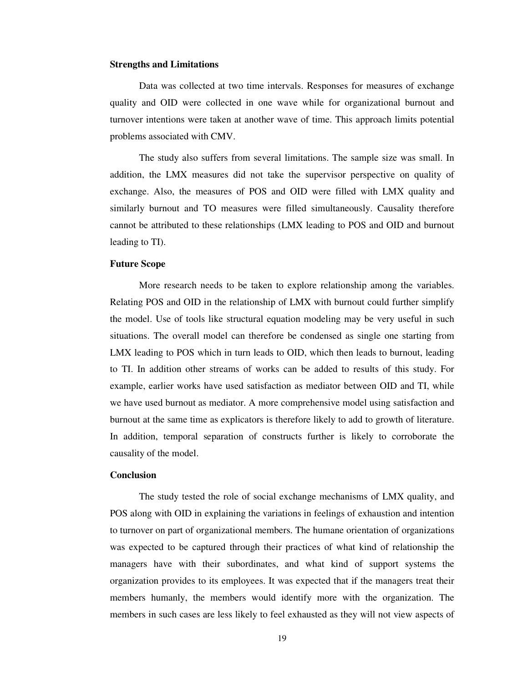## **Strengths and Limitations**

Data was collected at two time intervals. Responses for measures of exchange quality and OID were collected in one wave while for organizational burnout and turnover intentions were taken at another wave of time. This approach limits potential problems associated with CMV.

The study also suffers from several limitations. The sample size was small. In addition, the LMX measures did not take the supervisor perspective on quality of exchange. Also, the measures of POS and OID were filled with LMX quality and similarly burnout and TO measures were filled simultaneously. Causality therefore cannot be attributed to these relationships (LMX leading to POS and OID and burnout leading to TI).

#### **Future Scope**

More research needs to be taken to explore relationship among the variables. Relating POS and OID in the relationship of LMX with burnout could further simplify the model. Use of tools like structural equation modeling may be very useful in such situations. The overall model can therefore be condensed as single one starting from LMX leading to POS which in turn leads to OID, which then leads to burnout, leading to TI. In addition other streams of works can be added to results of this study. For example, earlier works have used satisfaction as mediator between OID and TI, while we have used burnout as mediator. A more comprehensive model using satisfaction and burnout at the same time as explicators is therefore likely to add to growth of literature. In addition, temporal separation of constructs further is likely to corroborate the causality of the model.

## **Conclusion**

The study tested the role of social exchange mechanisms of LMX quality, and POS along with OID in explaining the variations in feelings of exhaustion and intention to turnover on part of organizational members. The humane orientation of organizations was expected to be captured through their practices of what kind of relationship the managers have with their subordinates, and what kind of support systems the organization provides to its employees. It was expected that if the managers treat their members humanly, the members would identify more with the organization. The members in such cases are less likely to feel exhausted as they will not view aspects of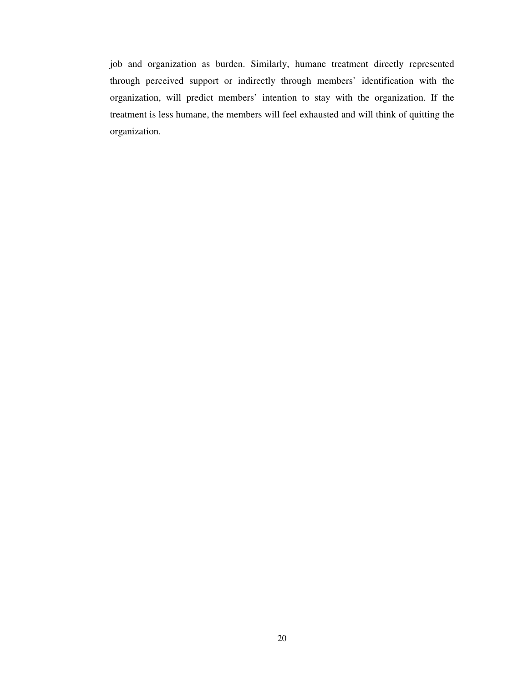job and organization as burden. Similarly, humane treatment directly represented through perceived support or indirectly through members' identification with the organization, will predict members' intention to stay with the organization. If the treatment is less humane, the members will feel exhausted and will think of quitting the organization.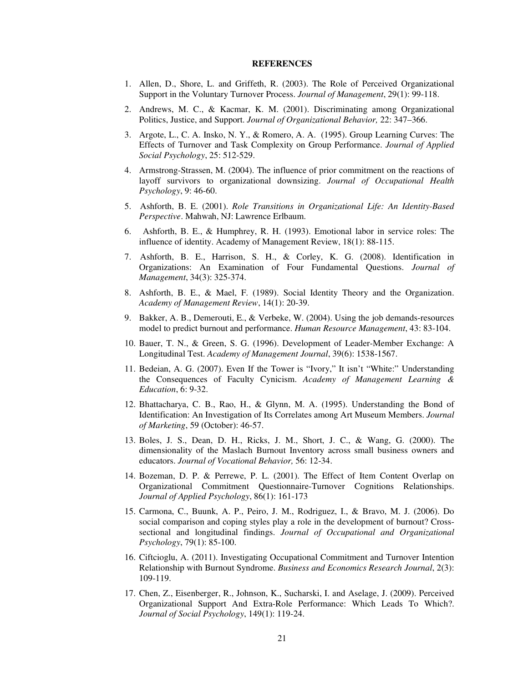#### **REFERENCES**

- 1. Allen, D., Shore, L. and Griffeth, R. (2003). The Role of Perceived Organizational Support in the Voluntary Turnover Process. *Journal of Management*, 29(1): 99-118.
- 2. Andrews, M. C., & Kacmar, K. M. (2001). Discriminating among Organizational Politics, Justice, and Support. *Journal of Organizational Behavior,* 22: 347–366.
- 3. Argote, L., C. A. Insko, N. Y., & Romero, A. A. (1995). Group Learning Curves: The Effects of Turnover and Task Complexity on Group Performance. *Journal of Applied Social Psychology*, 25: 512-529.
- 4. Armstrong-Strassen, M. (2004). The influence of prior commitment on the reactions of layoff survivors to organizational downsizing. *Journal of Occupational Health Psychology*, 9: 46-60.
- 5. Ashforth, B. E. (2001). *Role Transitions in Organizational Life: An Identity-Based Perspective*. Mahwah, NJ: Lawrence Erlbaum.
- 6. Ashforth, B. E., & Humphrey, R. H. (1993). Emotional labor in service roles: The influence of identity. Academy of Management Review, 18(1): 88-115.
- 7. Ashforth, B. E., Harrison, S. H., & Corley, K. G. (2008). Identification in Organizations: An Examination of Four Fundamental Questions. *Journal of Management*, 34(3): 325-374.
- 8. Ashforth, B. E., & Mael, F. (1989). Social Identity Theory and the Organization. *Academy of Management Review*, 14(1): 20-39.
- 9. Bakker, A. B., Demerouti, E., & Verbeke, W. (2004). Using the job demands-resources model to predict burnout and performance. *Human Resource Management*, 43: 83-104.
- 10. Bauer, T. N., & Green, S. G. (1996). Development of Leader-Member Exchange: A Longitudinal Test. *Academy of Management Journal*, 39(6): 1538-1567.
- 11. Bedeian, A. G. (2007). Even If the Tower is "Ivory," It isn't "White:" Understanding the Consequences of Faculty Cynicism. *Academy of Management Learning & Education*, 6: 9-32.
- 12. Bhattacharya, C. B., Rao, H., & Glynn, M. A. (1995). Understanding the Bond of Identification: An Investigation of Its Correlates among Art Museum Members. *Journal of Marketing*, 59 (October): 46-57.
- 13. Boles, J. S., Dean, D. H., Ricks, J. M., Short, J. C., & Wang, G. (2000). The dimensionality of the Maslach Burnout Inventory across small business owners and educators. *Journal of Vocational Behavior,* 56: 12-34.
- 14. Bozeman, D. P. & Perrewe, P. L. (2001). The Effect of Item Content Overlap on Organizational Commitment Questionnaire-Turnover Cognitions Relationships. *Journal of Applied Psychology*, 86(1): 161-173
- 15. Carmona, C., Buunk, A. P., Peiro, J. M., Rodriguez, I., & Bravo, M. J. (2006). Do social comparison and coping styles play a role in the development of burnout? Crosssectional and longitudinal findings. *Journal of Occupational and Organizational Psychology*, 79(1): 85-100.
- 16. Ciftcioglu, A. (2011). Investigating Occupational Commitment and Turnover Intention Relationship with Burnout Syndrome. *Business and Economics Research Journal*, 2(3): 109-119.
- 17. Chen, Z., Eisenberger, R., Johnson, K., Sucharski, I. and Aselage, J. (2009). Perceived Organizational Support And Extra-Role Performance: Which Leads To Which?. *Journal of Social Psychology*, 149(1): 119-24.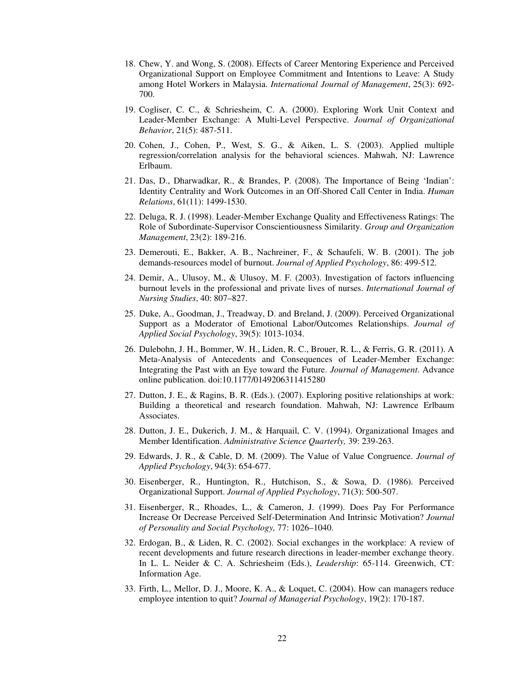- 18. Chew, Y. and Wong, S. (2008). Effects of Career Mentoring Experience and Perceived Organizational Support on Employee Commitment and Intentions to Leave: A Study among Hotel Workers in Malaysia. *International Journal of Management*, 25(3): 692- 700.
- 19. Cogliser, C. C., & Schriesheim, C. A. (2000). Exploring Work Unit Context and Leader-Member Exchange: A Multi-Level Perspective. *Journal of Organizational Behavior*, 21(5): 487-511.
- 20. Cohen, J., Cohen, P., West, S. G., & Aiken, L. S. (2003). Applied multiple regression/correlation analysis for the behavioral sciences. Mahwah, NJ: Lawrence Erlbaum.
- 21. Das, D., Dharwadkar, R., & Brandes, P. (2008). The Importance of Being 'Indian': Identity Centrality and Work Outcomes in an Off-Shored Call Center in India. *Human Relations*, 61(11): 1499-1530.
- 22. Deluga, R. J. (1998). Leader-Member Exchange Quality and Effectiveness Ratings: The Role of Subordinate-Supervisor Conscientiousness Similarity. *Group and Organization Management*, 23(2): 189-216.
- 23. Demerouti, E., Bakker, A. B., Nachreiner, F., & Schaufeli, W. B. (2001). The job demands-resources model of burnout. *Journal of Applied Psychology*, 86: 499-512.
- 24. Demir, A., Ulusoy, M., & Ulusoy, M. F. (2003). Investigation of factors influencing burnout levels in the professional and private lives of nurses. *International Journal of Nursing Studies*, 40: 807–827.
- 25. Duke, A., Goodman, J., Treadway, D. and Breland, J. (2009). Perceived Organizational Support as a Moderator of Emotional Labor/Outcomes Relationships. *Journal of Applied Social Psychology*, 39(5): 1013-1034.
- 26. Dulebohn, J. H., Bommer, W. H., Liden, R. C., Brouer, R. L., & Ferris, G. R. (2011). A Meta-Analysis of Antecedents and Consequences of Leader-Member Exchange: Integrating the Past with an Eye toward the Future. *Journal of Management*. Advance online publication. doi:10.1177/0149206311415280
- 27. Dutton, J. E., & Ragins, B. R. (Eds.). (2007). Exploring positive relationships at work: Building a theoretical and research foundation. Mahwah, NJ: Lawrence Erlbaum Associates.
- 28. Dutton, J. E., Dukerich, J. M., & Harquail, C. V. (1994). Organizational Images and Member Identification. *Administrative Science Quarterly,* 39: 239-263.
- 29. Edwards, J. R., & Cable, D. M. (2009). The Value of Value Congruence. *Journal of Applied Psychology*, 94(3): 654-677.
- 30. Eisenberger, R., Huntington, R., Hutchison, S., & Sowa, D. (1986). Perceived Organizational Support. *Journal of Applied Psychology*, 71(3): 500-507.
- 31. Eisenberger, R., Rhoades, L., & Cameron, J. (1999). Does Pay For Performance Increase Or Decrease Perceived Self-Determination And Intrinsic Motivation? *Journal of Personality and Social Psychology,* 77: 1026–1040.
- 32. Erdogan, B., & Liden, R. C. (2002). Social exchanges in the workplace: A review of recent developments and future research directions in leader-member exchange theory. In L. L. Neider & C. A. Schriesheim (Eds.), *Leadership*: 65-114. Greenwich, CT: Information Age.
- 33. Firth, L., Mellor, D. J., Moore, K. A., & Loquet, C. (2004). How can managers reduce employee intention to quit? *Journal of Managerial Psychology*, 19(2): 170-187.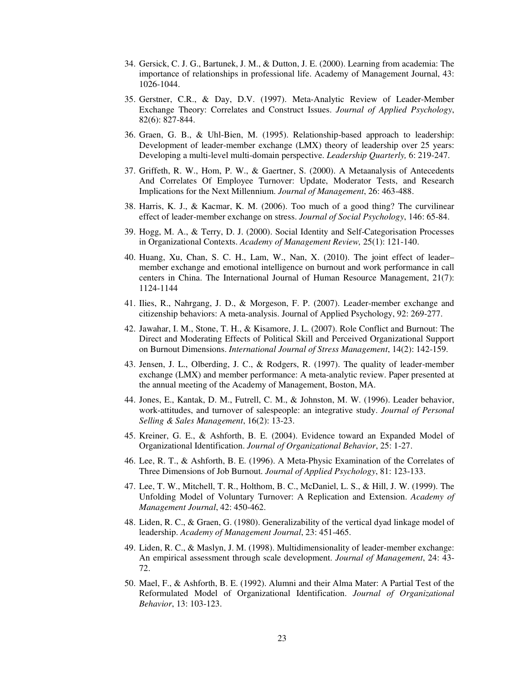- 34. Gersick, C. J. G., Bartunek, J. M., & Dutton, J. E. (2000). Learning from academia: The importance of relationships in professional life. Academy of Management Journal, 43: 1026-1044.
- 35. Gerstner, C.R., & Day, D.V. (1997). Meta-Analytic Review of Leader-Member Exchange Theory: Correlates and Construct Issues. *Journal of Applied Psychology*, 82(6): 827-844.
- 36. Graen, G. B., & Uhl-Bien, M. (1995). Relationship-based approach to leadership: Development of leader-member exchange (LMX) theory of leadership over 25 years: Developing a multi-level multi-domain perspective. *Leadership Quarterly,* 6: 219-247.
- 37. Griffeth, R. W., Hom, P. W., & Gaertner, S. (2000). A Metaanalysis of Antecedents And Correlates Of Employee Turnover: Update, Moderator Tests, and Research Implications for the Next Millennium. *Journal of Management*, 26: 463-488.
- 38. Harris, K. J., & Kacmar, K. M. (2006). Too much of a good thing? The curvilinear effect of leader-member exchange on stress. *Journal of Social Psychology*, 146: 65-84.
- 39. Hogg, M. A., & Terry, D. J. (2000). Social Identity and Self-Categorisation Processes in Organizational Contexts. *Academy of Management Review,* 25(1): 121-140.
- 40. Huang, Xu, Chan, S. C. H., Lam, W., Nan, X. (2010). The joint effect of leader– member exchange and emotional intelligence on burnout and work performance in call centers in China. The International Journal of Human Resource Management, 21(7): 1124-1144
- 41. Ilies, R., Nahrgang, J. D., & Morgeson, F. P. (2007). Leader-member exchange and citizenship behaviors: A meta-analysis. Journal of Applied Psychology, 92: 269-277.
- 42. Jawahar, I. M., Stone, T. H., & Kisamore, J. L. (2007). Role Conflict and Burnout: The Direct and Moderating Effects of Political Skill and Perceived Organizational Support on Burnout Dimensions. *International Journal of Stress Management*, 14(2): 142-159.
- 43. Jensen, J. L., Olberding, J. C., & Rodgers, R. (1997). The quality of leader-member exchange (LMX) and member performance: A meta-analytic review. Paper presented at the annual meeting of the Academy of Management, Boston, MA.
- 44. Jones, E., Kantak, D. M., Futrell, C. M., & Johnston, M. W. (1996). Leader behavior, work-attitudes, and turnover of salespeople: an integrative study. *Journal of Personal Selling & Sales Management*, 16(2): 13-23.
- 45. Kreiner, G. E., & Ashforth, B. E. (2004). Evidence toward an Expanded Model of Organizational Identification. *Journal of Organizational Behavior*, 25: 1-27.
- 46. Lee, R. T., & Ashforth, B. E. (1996). A Meta-Physic Examination of the Correlates of Three Dimensions of Job Burnout. *Journal of Applied Psychology*, 81: 123-133.
- 47. Lee, T. W., Mitchell, T. R., Holthom, B. C., McDaniel, L. S., & Hill, J. W. (1999). The Unfolding Model of Voluntary Turnover: A Replication and Extension. *Academy of Management Journal*, 42: 450-462.
- 48. Liden, R. C., & Graen, G. (1980). Generalizability of the vertical dyad linkage model of leadership. *Academy of Management Journal*, 23: 451-465.
- 49. Liden, R. C., & Maslyn, J. M. (1998). Multidimensionality of leader-member exchange: An empirical assessment through scale development. *Journal of Management*, 24: 43- 72.
- 50. Mael, F., & Ashforth, B. E. (1992). Alumni and their Alma Mater: A Partial Test of the Reformulated Model of Organizational Identification. *Journal of Organizational Behavior*, 13: 103-123.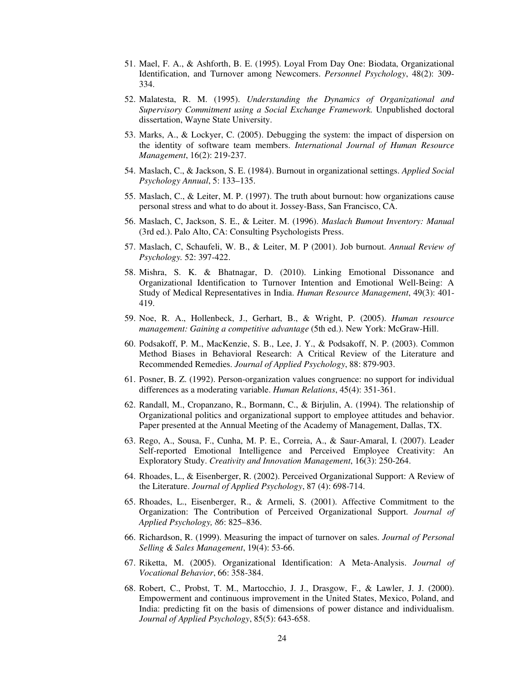- 51. Mael, F. A., & Ashforth, B. E. (1995). Loyal From Day One: Biodata, Organizational Identification, and Turnover among Newcomers. *Personnel Psychology*, 48(2): 309- 334.
- 52. Malatesta, R. M. (1995). *Understanding the Dynamics of Organizational and Supervisory Commitment using a Social Exchange Framework.* Unpublished doctoral dissertation, Wayne State University.
- 53. Marks, A., & Lockyer, C. (2005). Debugging the system: the impact of dispersion on the identity of software team members. *International Journal of Human Resource Management*, 16(2): 219-237.
- 54. Maslach, C., & Jackson, S. E. (1984). Burnout in organizational settings. *Applied Social Psychology Annual*, 5: 133–135.
- 55. Maslach, C., & Leiter, M. P. (1997). The truth about burnout: how organizations cause personal stress and what to do about it. Jossey-Bass, San Francisco, CA.
- 56. Maslach, C, Jackson, S. E., & Leiter. M. (1996). *Maslach Bumout Inventory: Manual*  (3rd ed.). Palo Alto, CA: Consulting Psychologists Press.
- 57. Maslach, C, Schaufeli, W. B., & Leiter, M. P (2001). Job burnout. *Annual Review of Psychology.* 52: 397-422.
- 58. Mishra, S. K. & Bhatnagar, D. (2010). Linking Emotional Dissonance and Organizational Identification to Turnover Intention and Emotional Well-Being: A Study of Medical Representatives in India. *Human Resource Management*, 49(3): 401- 419.
- 59. Noe, R. A., Hollenbeck, J., Gerhart, B., & Wright, P. (2005). *Human resource management: Gaining a competitive advantage* (5th ed.). New York: McGraw-Hill.
- 60. Podsakoff, P. M., MacKenzie, S. B., Lee, J. Y., & Podsakoff, N. P. (2003). Common Method Biases in Behavioral Research: A Critical Review of the Literature and Recommended Remedies. *Journal of Applied Psychology*, 88: 879-903.
- 61. Posner, B. Z. (1992). Person-organization values congruence: no support for individual differences as a moderating variable. *Human Relations*, 45(4): 351-361.
- 62. Randall, M., Cropanzano, R., Bormann, C., & Birjulin, A. (1994). The relationship of Organizational politics and organizational support to employee attitudes and behavior. Paper presented at the Annual Meeting of the Academy of Management, Dallas, TX.
- 63. Rego, A., Sousa, F., Cunha, M. P. E., Correia, A., & Saur-Amaral, I. (2007). Leader Self-reported Emotional Intelligence and Perceived Employee Creativity: An Exploratory Study. *Creativity and Innovation Management*, 16(3): 250-264.
- 64. Rhoades, L., & Eisenberger, R. (2002). Perceived Organizational Support: A Review of the Literature. *Journal of Applied Psychology*, 87 (4): 698-714.
- 65. Rhoades, L., Eisenberger, R., & Armeli, S. (2001). Affective Commitment to the Organization: The Contribution of Perceived Organizational Support. *Journal of Applied Psychology, 86*: 825–836.
- 66. Richardson, R. (1999). Measuring the impact of turnover on sales. *Journal of Personal Selling & Sales Management*, 19(4): 53-66.
- 67. Riketta, M. (2005). Organizational Identification: A Meta-Analysis. *Journal of Vocational Behavior*, 66: 358-384.
- 68. Robert, C., Probst, T. M., Martocchio, J. J., Drasgow, F., & Lawler, J. J. (2000). Empowerment and continuous improvement in the United States, Mexico, Poland, and India: predicting fit on the basis of dimensions of power distance and individualism. *Journal of Applied Psychology*, 85(5): 643-658.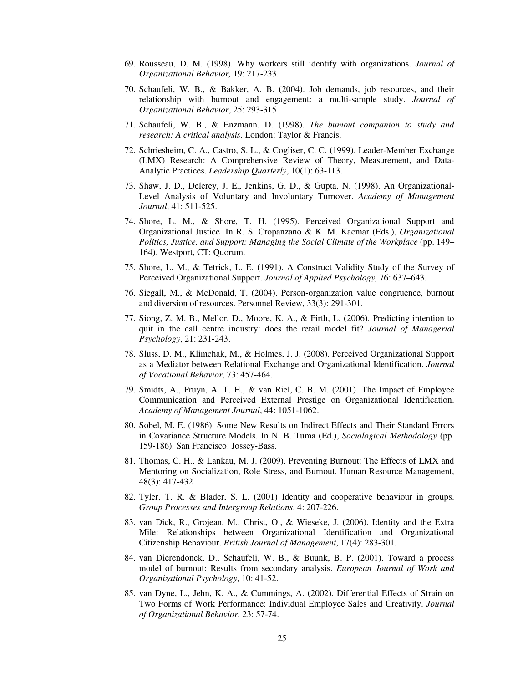- 69. Rousseau, D. M. (1998). Why workers still identify with organizations. *Journal of Organizational Behavior,* 19: 217-233.
- 70. Schaufeli, W. B., & Bakker, A. B. (2004). Job demands, job resources, and their relationship with burnout and engagement: a multi-sample study. *Journal of Organizational Behavior*, 25: 293-315
- 71. Schaufeli, W. B., & Enzmann. D. (1998). *The bumout companion to study and research: A critical analysis.* London: Taylor & Francis.
- 72. Schriesheim, C. A., Castro, S. L., & Cogliser, C. C. (1999). Leader-Member Exchange (LMX) Research: A Comprehensive Review of Theory, Measurement, and Data-Analytic Practices. *Leadership Quarterly*, 10(1): 63-113.
- 73. Shaw, J. D., Delerey, J. E., Jenkins, G. D., & Gupta, N. (1998). An Organizational-Level Analysis of Voluntary and Involuntary Turnover. *Academy of Management Journal*, 41: 511-525.
- 74. Shore, L. M., & Shore, T. H. (1995). Perceived Organizational Support and Organizational Justice. In R. S. Cropanzano & K. M. Kacmar (Eds.), *Organizational*  Politics, Justice, and Support: Managing the Social Climate of the Workplace (pp. 149– 164). Westport, CT: Quorum.
- 75. Shore, L. M., & Tetrick, L. E. (1991). A Construct Validity Study of the Survey of Perceived Organizational Support. *Journal of Applied Psychology,* 76: 637–643.
- 76. Siegall, M., & McDonald, T. (2004). Person-organization value congruence, burnout and diversion of resources. Personnel Review, 33(3): 291-301.
- 77. Siong, Z. M. B., Mellor, D., Moore, K. A., & Firth, L. (2006). Predicting intention to quit in the call centre industry: does the retail model fit? *Journal of Managerial Psychology*, 21: 231-243.
- 78. Sluss, D. M., Klimchak, M., & Holmes, J. J. (2008). Perceived Organizational Support as a Mediator between Relational Exchange and Organizational Identification. *Journal of Vocational Behavior*, 73: 457-464.
- 79. Smidts, A., Pruyn, A. T. H., & van Riel, C. B. M. (2001). The Impact of Employee Communication and Perceived External Prestige on Organizational Identification. *Academy of Management Journal*, 44: 1051-1062.
- 80. Sobel, M. E. (1986). Some New Results on Indirect Effects and Their Standard Errors in Covariance Structure Models. In N. B. Tuma (Ed.), *Sociological Methodology* (pp. 159-186). San Francisco: Jossey-Bass.
- 81. Thomas, C. H., & Lankau, M. J. (2009). Preventing Burnout: The Effects of LMX and Mentoring on Socialization, Role Stress, and Burnout. Human Resource Management, 48(3): 417-432.
- 82. Tyler, T. R. & Blader, S. L. (2001) Identity and cooperative behaviour in groups. *Group Processes and Intergroup Relations*, 4: 207-226.
- 83. van Dick, R., Grojean, M., Christ, O., & Wieseke, J. (2006). Identity and the Extra Mile: Relationships between Organizational Identification and Organizational Citizenship Behaviour. *British Journal of Management*, 17(4): 283-301.
- 84. van Dierendonck, D., Schaufeli, W. B., & Buunk, B. P. (2001). Toward a process model of burnout: Results from secondary analysis. *European Journal of Work and Organizational Psychology*, 10: 41-52.
- 85. van Dyne, L., Jehn, K. A., & Cummings, A. (2002). Differential Effects of Strain on Two Forms of Work Performance: Individual Employee Sales and Creativity. *Journal of Organizational Behavior*, 23: 57-74.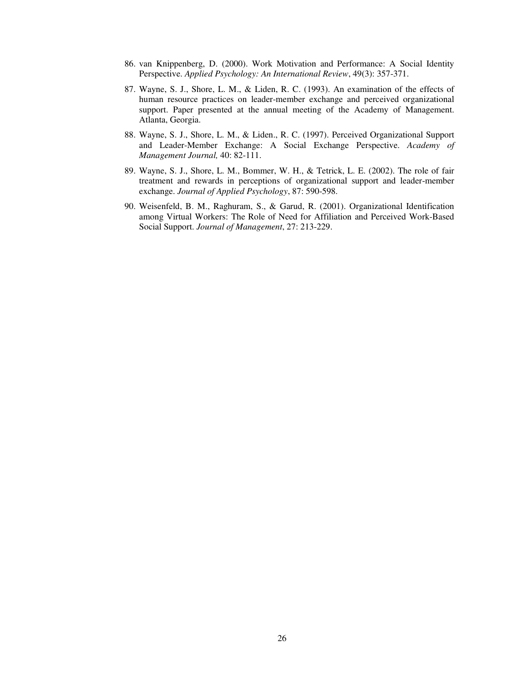- 86. van Knippenberg, D. (2000). Work Motivation and Performance: A Social Identity Perspective. *Applied Psychology: An International Review*, 49(3): 357-371.
- 87. Wayne, S. J., Shore, L. M., & Liden, R. C. (1993). An examination of the effects of human resource practices on leader-member exchange and perceived organizational support. Paper presented at the annual meeting of the Academy of Management. Atlanta, Georgia.
- 88. Wayne, S. J., Shore, L. M., & Liden., R. C. (1997). Perceived Organizational Support and Leader-Member Exchange: A Social Exchange Perspective. *Academy of Management Journal,* 40: 82-111.
- 89. Wayne, S. J., Shore, L. M., Bommer, W. H., & Tetrick, L. E. (2002). The role of fair treatment and rewards in perceptions of organizational support and leader-member exchange. *Journal of Applied Psychology*, 87: 590-598.
- 90. Weisenfeld, B. M., Raghuram, S., & Garud, R. (2001). Organizational Identification among Virtual Workers: The Role of Need for Affiliation and Perceived Work-Based Social Support. *Journal of Management*, 27: 213-229.